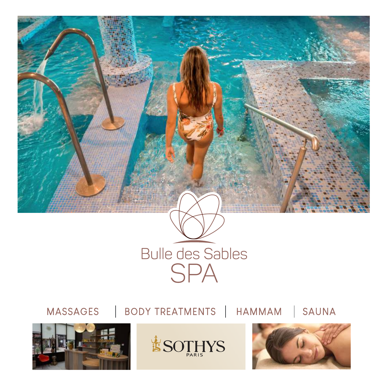

MASSAGES | BODY TREATMENTS | HAMMAM | SAUNA





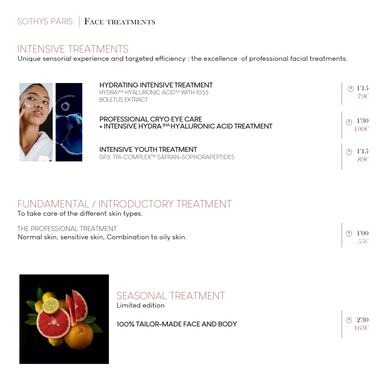## SOTHYS PARIS | FACE TREATMENTS

## INTENSIVE TREATMENTS

Unique sensorial experience and targeted efficiency : the excellence of professional facial treatments.



| <b>HYDRATING INTENSIVE TREATMENT</b><br>HYDRA <sup>3HA</sup> HYALURONIC ACID™ WITH 1055<br><b>BOLETUS EXTRACT</b> | 79€          |
|-------------------------------------------------------------------------------------------------------------------|--------------|
| PROFESSIONAL CRYO EYE CARE<br>+ INTENSIVE HYDRA <sup>3HA</sup> HYALURONIC ACID TREATMENT                          | 1'30<br>100€ |
| <b>INTENSIVE YOUTH TREATMENT</b><br><b>BP3. TRI-COMPLEX™ SAFRAN-SOPHORAPEPTIDES</b>                               | 89C          |

# FUNDAMENTAL / INTRODUCTORY TREATMENT

To take care of the different skin types.

| THE PROFESSIONAL TREATMENT<br>Normal skin, sensitive skin, Combination to oily skin. | (100) |
|--------------------------------------------------------------------------------------|-------|
|--------------------------------------------------------------------------------------|-------|



# SEASONAL TREATMENT

Limited edition

**100% TAILOR-MADE FACE AND BODY** 230

163€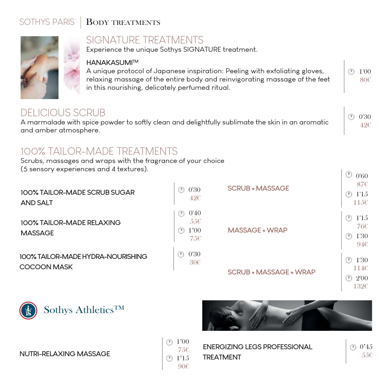### SOTHYS PARIS | **BODY TREATMENTS**



## SIGNATURE TREATMENTS

Experience the unique Sothys SIGNATURE treatment.

### **HANAKASUMITM**

A unique protocol of Japanese inspiration: Peeling with exfoliating gloves, relaxing massage of the entire body and reinvigorating massage of the feet in this nourishing, delicately perfumed ritual.

# DELICIOUS SCRUB

A marmalade with spice powder to softly clean and delightfully sublimate the skin in an aromatic and amber atmosphere.

 $(F)$ 

 0'30 42€

0'60

 $(F)$  1'00 80€

# 100% TAILOR-MADE TREATMENTS

Scrubs, massages and wraps with the fragrance of your choice (5 sensory experiences and 4 textures).

**100% TAILOR-MADE SCRUB SUGAR AND SALT 100% TAILOR-MADE HYDRA-NOURISHING**  0'30 **100% TAILOR-MADE RELAXING MASSAGE**

| 0'30<br>42C                 | <b>SCRUB + MASSAGE</b> | w<br>0'60<br>87€<br>1'15<br>(F)<br>115C    |
|-----------------------------|------------------------|--------------------------------------------|
| 0'40<br>55€<br>1'00<br>7.5€ | <b>MASSAGE + WRAP</b>  | (F)<br>1'15<br>76€<br>1'30<br>(F)<br>94C   |
| 0'30<br>30 <sup>o</sup>     | SCRUB + MASSAGE + WRAP | (F)<br>1'30<br>114C<br>2'00<br>(F)<br>132€ |



**COCOON MASK**



**NUTRI-RELAXING MASSAGE**

 $(2.1)$ 75€ 1'15 90€

**ENERGIZING LEGS PROFESSIONAL TREATMENT**